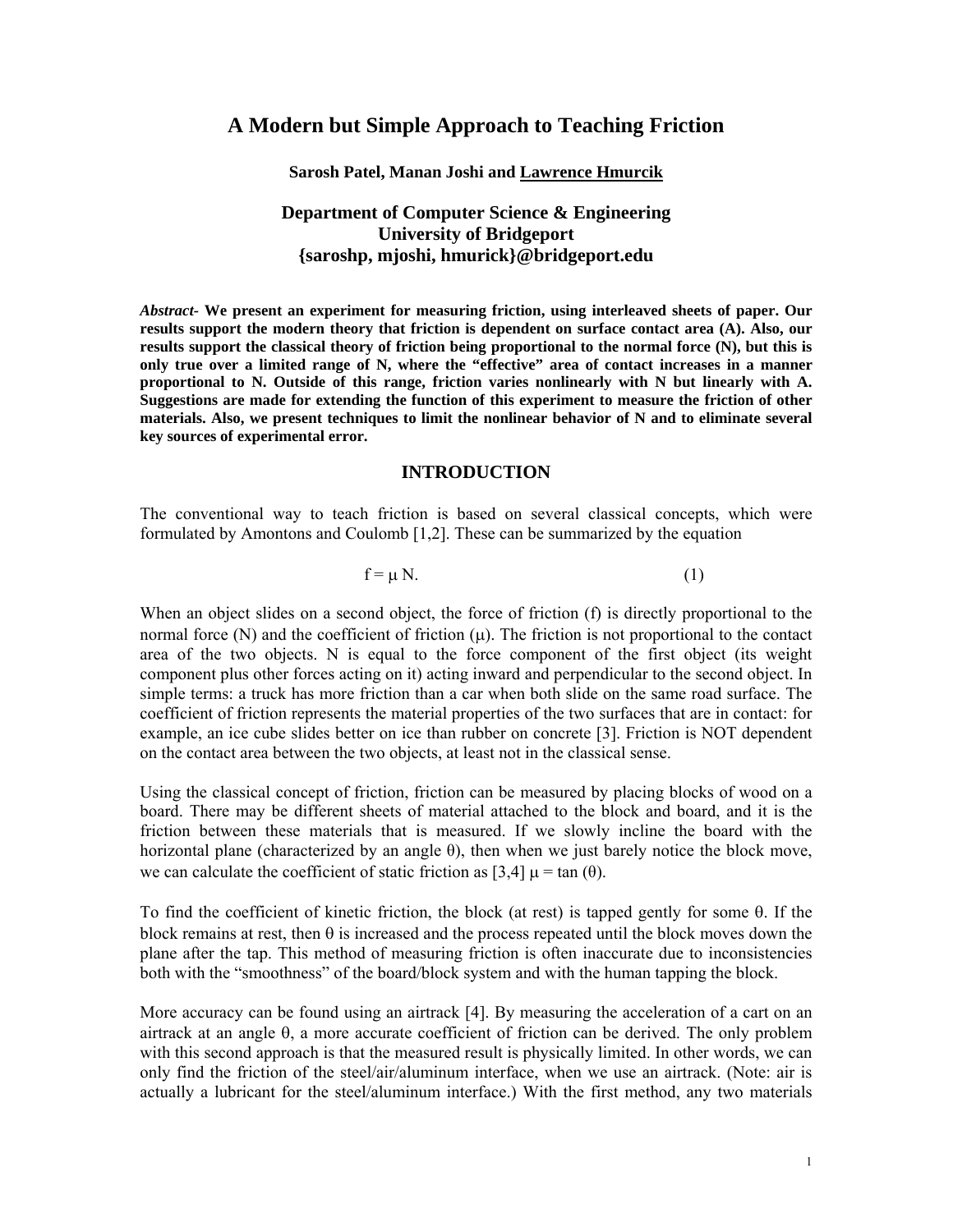# **A Modern but Simple Approach to Teaching Friction**

### **Sarosh Patel, Manan Joshi and Lawrence Hmurcik**

# **Department of Computer Science & Engineering University of Bridgeport {saroshp, mjoshi, hmurick}@bridgeport.edu**

*Abstract-* **We present an experiment for measuring friction, using interleaved sheets of paper. Our results support the modern theory that friction is dependent on surface contact area (A). Also, our results support the classical theory of friction being proportional to the normal force (N), but this is only true over a limited range of N, where the "effective" area of contact increases in a manner proportional to N. Outside of this range, friction varies nonlinearly with N but linearly with A. Suggestions are made for extending the function of this experiment to measure the friction of other materials. Also, we present techniques to limit the nonlinear behavior of N and to eliminate several key sources of experimental error.** 

#### **INTRODUCTION**

The conventional way to teach friction is based on several classical concepts, which were formulated by Amontons and Coulomb [1,2]. These can be summarized by the equation

$$
f = \mu N. \tag{1}
$$

When an object slides on a second object, the force of friction (f) is directly proportional to the normal force (N) and the coefficient of friction (μ). The friction is not proportional to the contact area of the two objects. N is equal to the force component of the first object (its weight component plus other forces acting on it) acting inward and perpendicular to the second object. In simple terms: a truck has more friction than a car when both slide on the same road surface. The coefficient of friction represents the material properties of the two surfaces that are in contact: for example, an ice cube slides better on ice than rubber on concrete [3]. Friction is NOT dependent on the contact area between the two objects, at least not in the classical sense.

Using the classical concept of friction, friction can be measured by placing blocks of wood on a board. There may be different sheets of material attached to the block and board, and it is the friction between these materials that is measured. If we slowly incline the board with the horizontal plane (characterized by an angle θ), then when we just barely notice the block move, we can calculate the coefficient of static friction as [3,4]  $\mu$  = tan (θ).

To find the coefficient of kinetic friction, the block (at rest) is tapped gently for some θ. If the block remains at rest, then θ is increased and the process repeated until the block moves down the plane after the tap. This method of measuring friction is often inaccurate due to inconsistencies both with the "smoothness" of the board/block system and with the human tapping the block.

More accuracy can be found using an airtrack [4]. By measuring the acceleration of a cart on an airtrack at an angle θ, a more accurate coefficient of friction can be derived. The only problem with this second approach is that the measured result is physically limited. In other words, we can only find the friction of the steel/air/aluminum interface, when we use an airtrack. (Note: air is actually a lubricant for the steel/aluminum interface.) With the first method, any two materials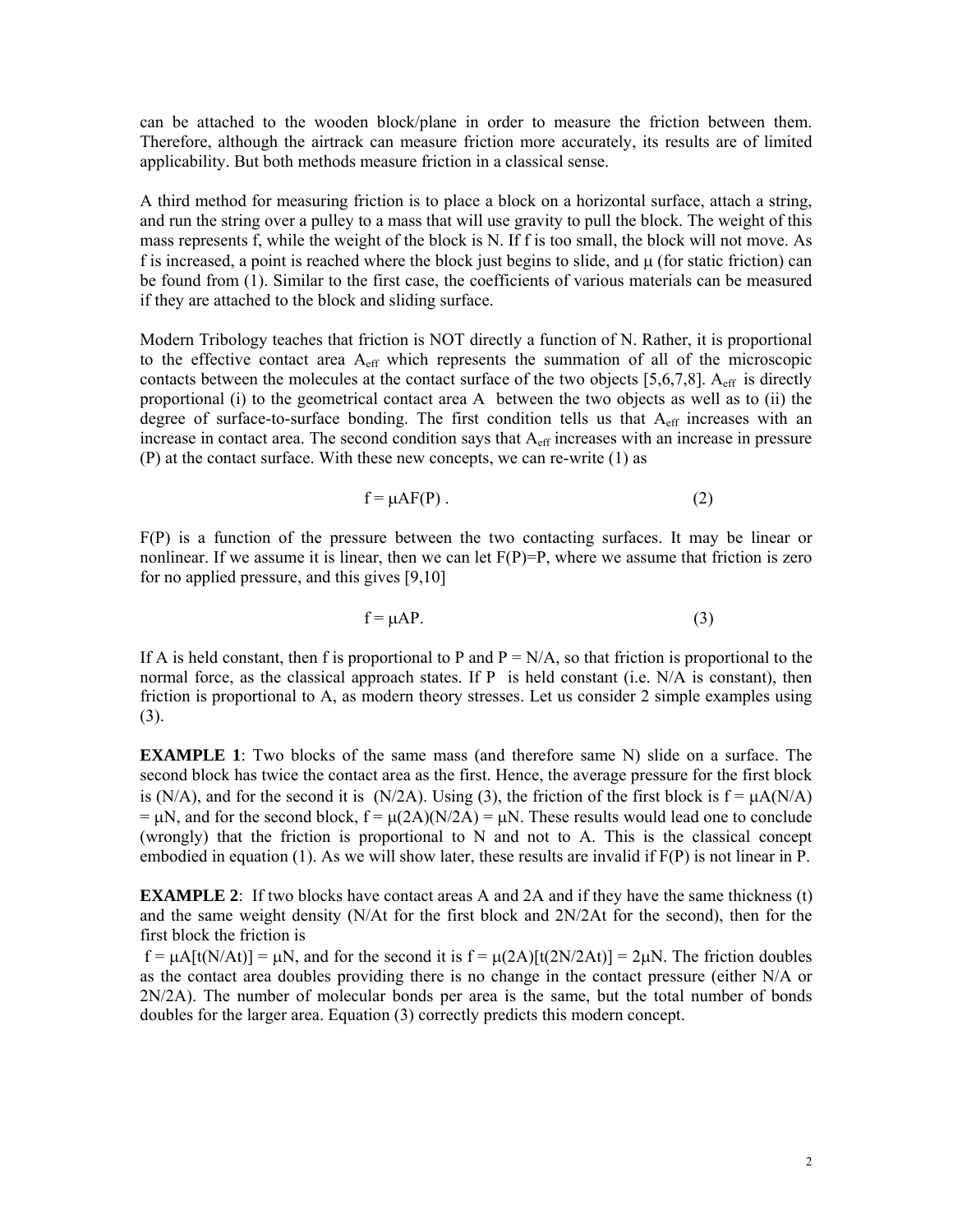can be attached to the wooden block/plane in order to measure the friction between them. Therefore, although the airtrack can measure friction more accurately, its results are of limited applicability. But both methods measure friction in a classical sense.

A third method for measuring friction is to place a block on a horizontal surface, attach a string, and run the string over a pulley to a mass that will use gravity to pull the block. The weight of this mass represents f, while the weight of the block is N. If f is too small, the block will not move. As f is increased, a point is reached where the block just begins to slide, and  $\mu$  (for static friction) can be found from (1). Similar to the first case, the coefficients of various materials can be measured if they are attached to the block and sliding surface.

Modern Tribology teaches that friction is NOT directly a function of N. Rather, it is proportional to the effective contact area Aeff which represents the summation of all of the microscopic contacts between the molecules at the contact surface of the two objects  $[5,6,7,8]$ . A<sub>eff</sub> is directly proportional (i) to the geometrical contact area A between the two objects as well as to (ii) the degree of surface-to-surface bonding. The first condition tells us that A<sub>eff</sub> increases with an increase in contact area. The second condition says that  $A<sub>eff</sub>$  increases with an increase in pressure (P) at the contact surface. With these new concepts, we can re-write (1) as

$$
f = \mu AF(P) \tag{2}
$$

F(P) is a function of the pressure between the two contacting surfaces. It may be linear or nonlinear. If we assume it is linear, then we can let  $F(P)=P$ , where we assume that friction is zero for no applied pressure, and this gives [9,10]

$$
f = \mu AP.
$$
 (3)

If A is held constant, then f is proportional to P and  $P = N/A$ , so that friction is proportional to the normal force, as the classical approach states. If  $P$  is held constant (i.e.  $N/A$  is constant), then friction is proportional to A, as modern theory stresses. Let us consider 2 simple examples using (3).

**EXAMPLE 1**: Two blocks of the same mass (and therefore same N) slide on a surface. The second block has twice the contact area as the first. Hence, the average pressure for the first block is (N/A), and for the second it is (N/2A). Using (3), the friction of the first block is  $f = \mu A(N/A)$  $= \mu N$ , and for the second block,  $f = \mu(2A)(N/2A) = \mu N$ . These results would lead one to conclude (wrongly) that the friction is proportional to N and not to A. This is the classical concept embodied in equation (1). As we will show later, these results are invalid if F(P) is not linear in P.

**EXAMPLE 2**: If two blocks have contact areas A and 2A and if they have the same thickness (t) and the same weight density (N/At for the first block and 2N/2At for the second), then for the first block the friction is

 $f = \mu A[t(N/At)] = \mu N$ , and for the second it is  $f = \mu(2A)[t(2N/2At)] = 2\mu N$ . The friction doubles as the contact area doubles providing there is no change in the contact pressure (either N/A or 2N/2A). The number of molecular bonds per area is the same, but the total number of bonds doubles for the larger area. Equation (3) correctly predicts this modern concept.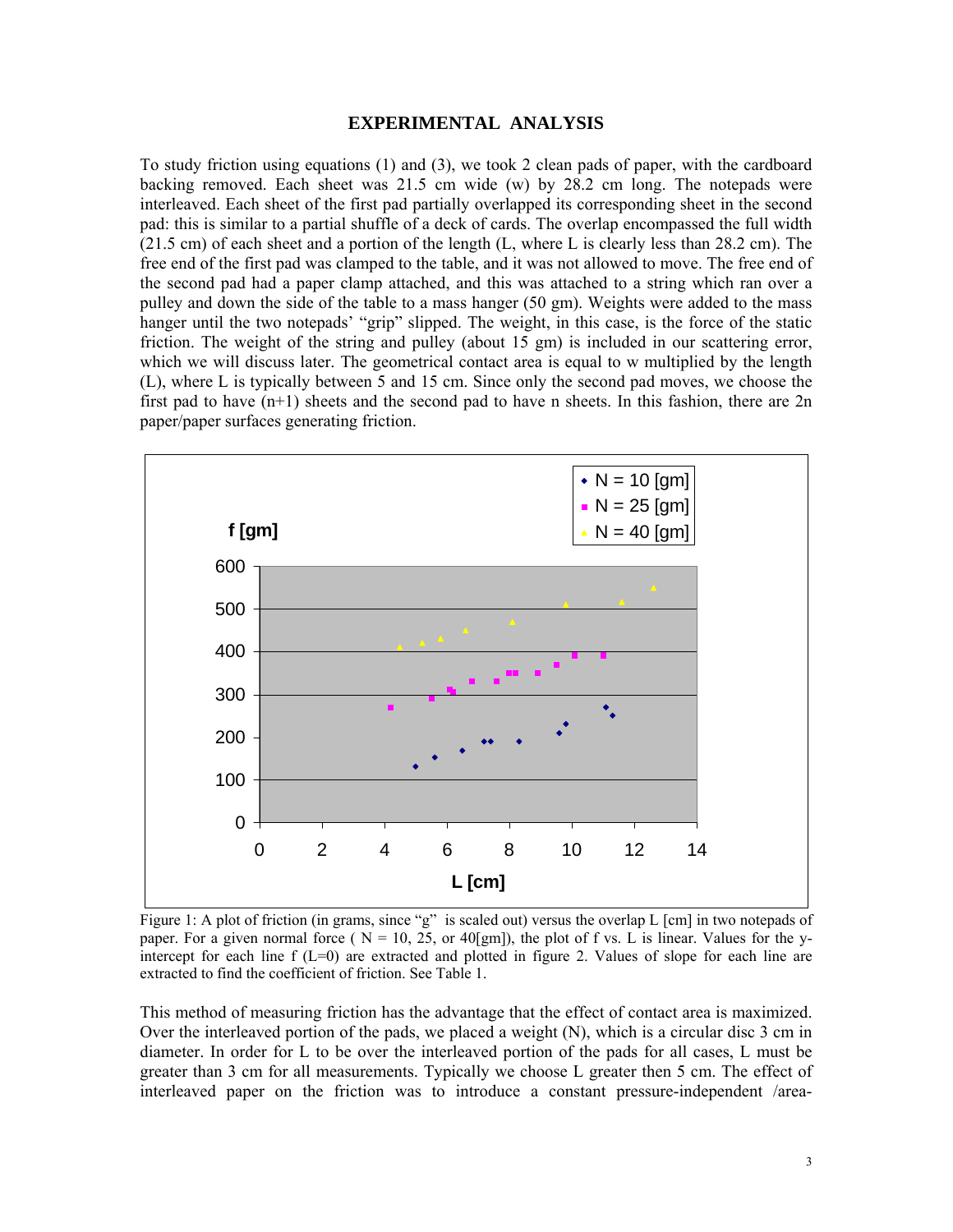### **EXPERIMENTAL ANALYSIS**

To study friction using equations (1) and (3), we took 2 clean pads of paper, with the cardboard backing removed. Each sheet was  $21.5$  cm wide (w) by  $28.2$  cm long. The notepads were interleaved. Each sheet of the first pad partially overlapped its corresponding sheet in the second pad: this is similar to a partial shuffle of a deck of cards. The overlap encompassed the full width (21.5 cm) of each sheet and a portion of the length (L, where L is clearly less than 28.2 cm). The free end of the first pad was clamped to the table, and it was not allowed to move. The free end of the second pad had a paper clamp attached, and this was attached to a string which ran over a pulley and down the side of the table to a mass hanger (50 gm). Weights were added to the mass hanger until the two notepads' "grip" slipped. The weight, in this case, is the force of the static friction. The weight of the string and pulley (about 15 gm) is included in our scattering error, which we will discuss later. The geometrical contact area is equal to w multiplied by the length (L), where L is typically between 5 and 15 cm. Since only the second pad moves, we choose the first pad to have  $(n+1)$  sheets and the second pad to have n sheets. In this fashion, there are  $2n$ paper/paper surfaces generating friction.



Figure 1: A plot of friction (in grams, since "g" is scaled out) versus the overlap L [cm] in two notepads of paper. For a given normal force ( $N = 10$ , 25, or 40[gm]), the plot of f vs. L is linear. Values for the yintercept for each line  $f(L=0)$  are extracted and plotted in figure 2. Values of slope for each line are extracted to find the coefficient of friction. See Table 1.

This method of measuring friction has the advantage that the effect of contact area is maximized. Over the interleaved portion of the pads, we placed a weight (N), which is a circular disc 3 cm in diameter. In order for L to be over the interleaved portion of the pads for all cases, L must be greater than 3 cm for all measurements. Typically we choose L greater then 5 cm. The effect of interleaved paper on the friction was to introduce a constant pressure-independent /area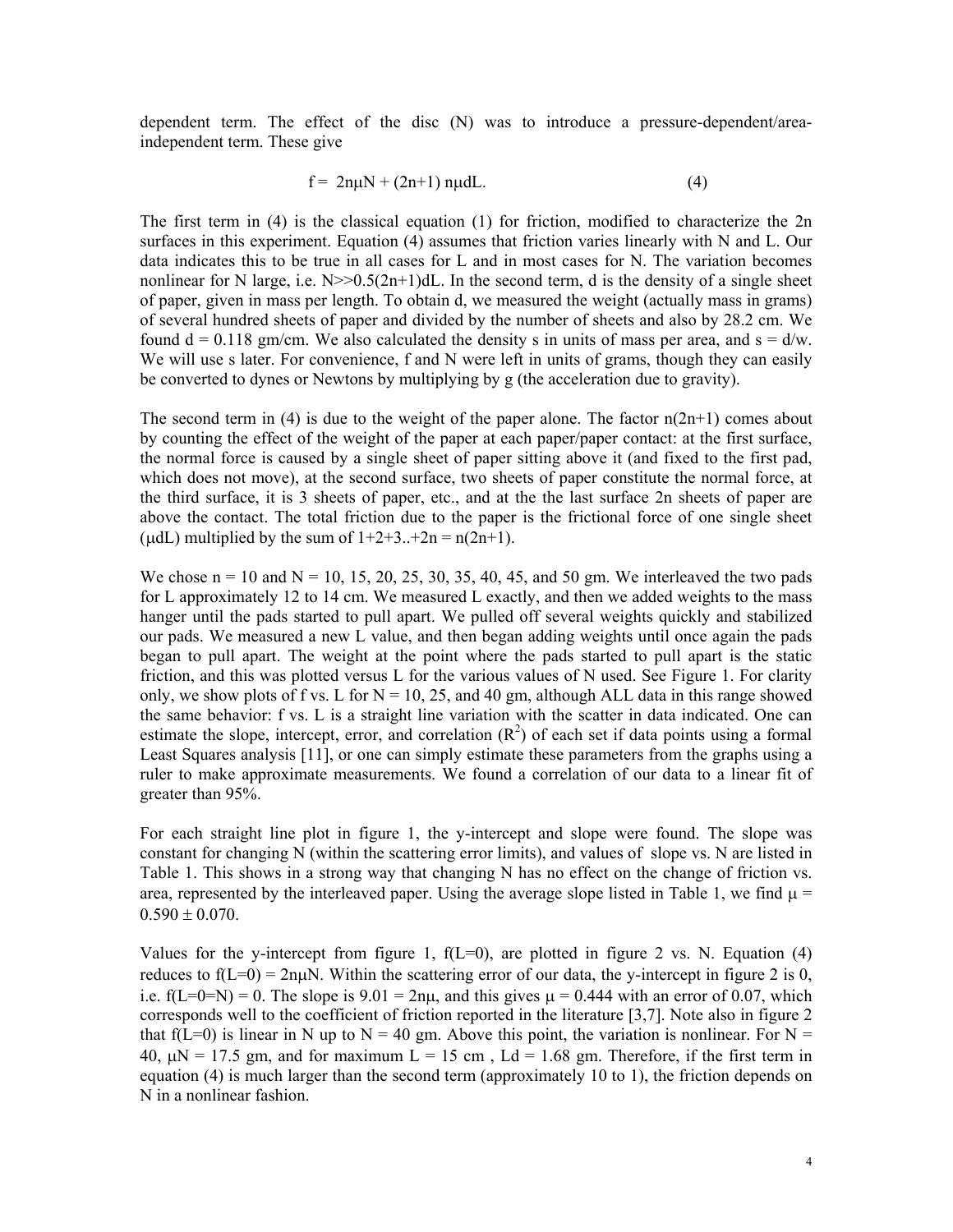dependent term. The effect of the disc (N) was to introduce a pressure-dependent/areaindependent term. These give

$$
f = 2n\mu N + (2n+1) n\mu dL. \tag{4}
$$

The first term in (4) is the classical equation (1) for friction, modified to characterize the 2n surfaces in this experiment. Equation (4) assumes that friction varies linearly with N and L. Our data indicates this to be true in all cases for L and in most cases for N. The variation becomes nonlinear for N large, i.e.  $N \geq 0.5(2n+1)dL$ . In the second term, d is the density of a single sheet of paper, given in mass per length. To obtain d, we measured the weight (actually mass in grams) of several hundred sheets of paper and divided by the number of sheets and also by 28.2 cm. We found  $d = 0.118$  gm/cm. We also calculated the density s in units of mass per area, and  $s = d/w$ . We will use s later. For convenience, f and N were left in units of grams, though they can easily be converted to dynes or Newtons by multiplying by g (the acceleration due to gravity).

The second term in (4) is due to the weight of the paper alone. The factor  $n(2n+1)$  comes about by counting the effect of the weight of the paper at each paper/paper contact: at the first surface, the normal force is caused by a single sheet of paper sitting above it (and fixed to the first pad, which does not move), at the second surface, two sheets of paper constitute the normal force, at the third surface, it is 3 sheets of paper, etc., and at the the last surface 2n sheets of paper are above the contact. The total friction due to the paper is the frictional force of one single sheet (udL) multiplied by the sum of  $1+2+3...+2n = n(2n+1)$ .

We chose  $n = 10$  and  $N = 10$ , 15, 20, 25, 30, 35, 40, 45, and 50 gm. We interleaved the two pads for L approximately 12 to 14 cm. We measured L exactly, and then we added weights to the mass hanger until the pads started to pull apart. We pulled off several weights quickly and stabilized our pads. We measured a new L value, and then began adding weights until once again the pads began to pull apart. The weight at the point where the pads started to pull apart is the static friction, and this was plotted versus L for the various values of N used. See Figure 1. For clarity only, we show plots of f vs. L for  $N = 10$ , 25, and 40 gm, although ALL data in this range showed the same behavior: f vs. L is a straight line variation with the scatter in data indicated. One can estimate the slope, intercept, error, and correlation  $(R<sup>2</sup>)$  of each set if data points using a formal Least Squares analysis [11], or one can simply estimate these parameters from the graphs using a ruler to make approximate measurements. We found a correlation of our data to a linear fit of greater than 95%.

For each straight line plot in figure 1, the y-intercept and slope were found. The slope was constant for changing N (within the scattering error limits), and values of slope vs. N are listed in Table 1. This shows in a strong way that changing N has no effect on the change of friction vs. area, represented by the interleaved paper. Using the average slope listed in Table 1, we find  $\mu$  =  $0.590 \pm 0.070$ .

Values for the y-intercept from figure 1,  $f(L=0)$ , are plotted in figure 2 vs. N. Equation (4) reduces to  $f(L=0) = 2n\mu N$ . Within the scattering error of our data, the y-intercept in figure 2 is 0, i.e.  $f(L=0=N) = 0$ . The slope is  $9.01 = 2n\mu$ , and this gives  $\mu = 0.444$  with an error of 0.07, which corresponds well to the coefficient of friction reported in the literature [3,7]. Note also in figure 2 that f(L=0) is linear in N up to N = 40 gm. Above this point, the variation is nonlinear. For N = 40,  $\mu$ N = 17.5 gm, and for maximum L = 15 cm, Ld = 1.68 gm. Therefore, if the first term in equation (4) is much larger than the second term (approximately 10 to 1), the friction depends on N in a nonlinear fashion.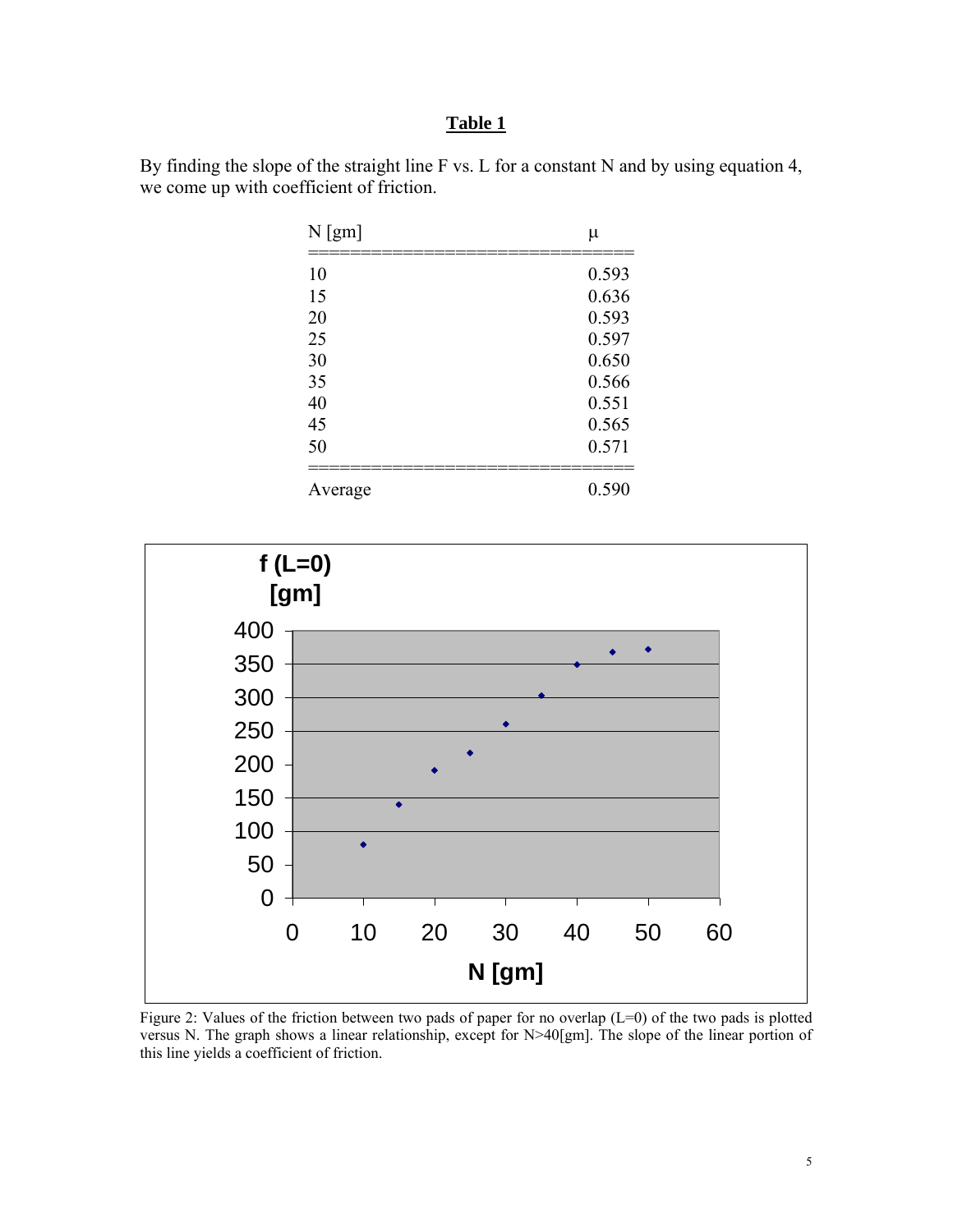# **Table 1**

By finding the slope of the straight line F vs. L for a constant N and by using equation 4, we come up with coefficient of friction.

| $N$ [gm] | μ     |
|----------|-------|
| 10       | 0.593 |
| 15       | 0.636 |
| 20       | 0.593 |
| 25       | 0.597 |
| 30       | 0.650 |
| 35       | 0.566 |
| 40       | 0.551 |
| 45       | 0.565 |
| 50       | 0.571 |
|          |       |
| Average  | 0.590 |



Figure 2: Values of the friction between two pads of paper for no overlap (L=0) of the two pads is plotted versus N. The graph shows a linear relationship, except for N>40[gm]. The slope of the linear portion of this line yields a coefficient of friction.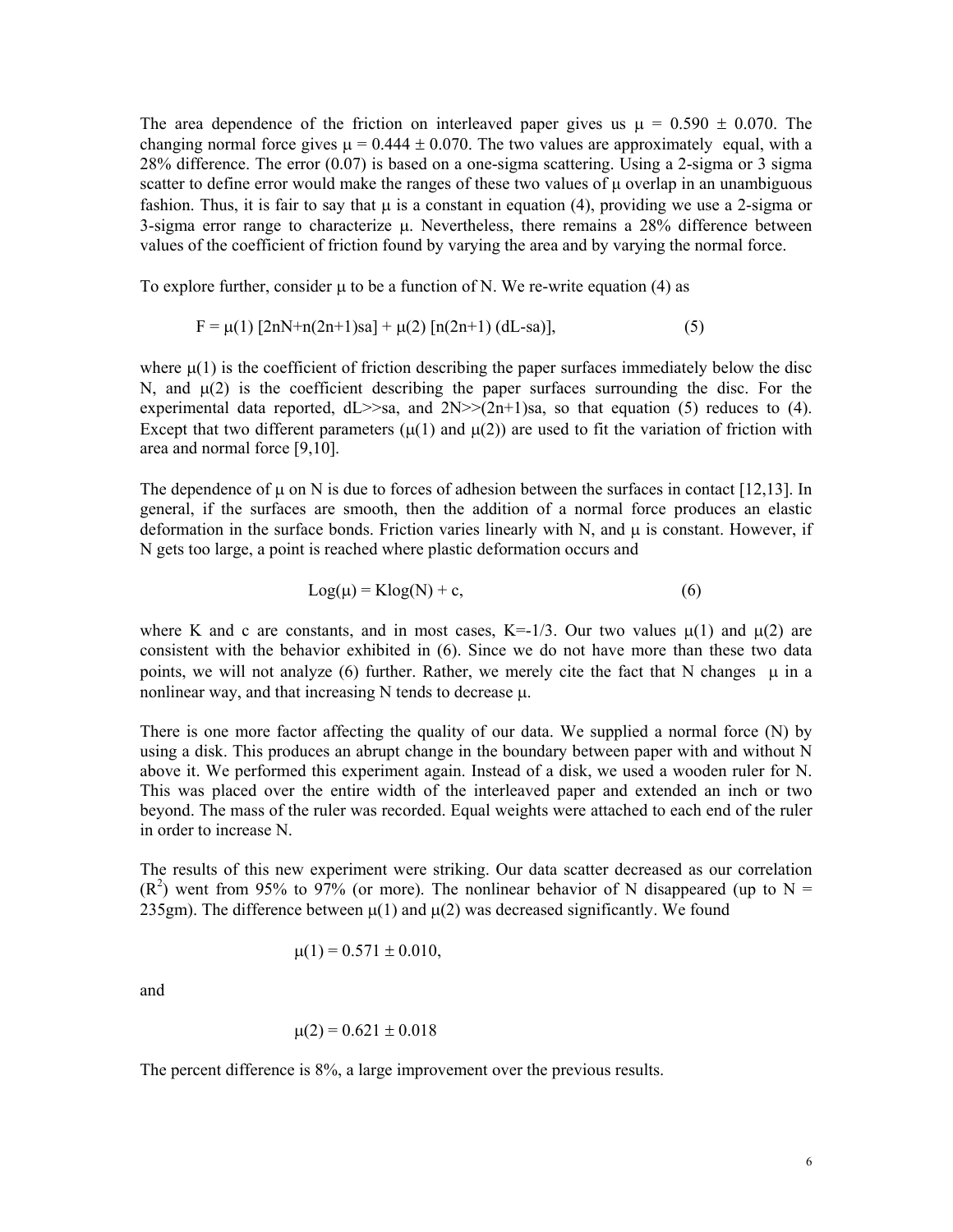The area dependence of the friction on interleaved paper gives us  $\mu = 0.590 \pm 0.070$ . The changing normal force gives  $\mu = 0.444 \pm 0.070$ . The two values are approximately equal, with a 28% difference. The error (0.07) is based on a one-sigma scattering. Using a 2-sigma or 3 sigma scatter to define error would make the ranges of these two values of μ overlap in an unambiguous fashion. Thus, it is fair to say that  $\mu$  is a constant in equation (4), providing we use a 2-sigma or 3-sigma error range to characterize μ. Nevertheless, there remains a 28% difference between values of the coefficient of friction found by varying the area and by varying the normal force.

To explore further, consider  $\mu$  to be a function of N. We re-write equation (4) as

$$
F = \mu(1) [2nN+n(2n+1)sa] + \mu(2) [n(2n+1) (dL-sa)],
$$
\n(5)

where  $\mu(1)$  is the coefficient of friction describing the paper surfaces immediately below the disc N, and  $\mu(2)$  is the coefficient describing the paper surfaces surrounding the disc. For the experimental data reported,  $dL \geq 8a$ , and  $2N \geq (2n+1)sa$ , so that equation (5) reduces to (4). Except that two different parameters  $(\mu(1)$  and  $\mu(2))$  are used to fit the variation of friction with area and normal force [9,10].

The dependence of  $\mu$  on N is due to forces of adhesion between the surfaces in contact [12,13]. In general, if the surfaces are smooth, then the addition of a normal force produces an elastic deformation in the surface bonds. Friction varies linearly with N, and μ is constant. However, if N gets too large, a point is reached where plastic deformation occurs and

$$
Log(\mu) = Klog(N) + c,
$$
\n(6)

where K and c are constants, and in most cases,  $K=-1/3$ . Our two values  $\mu(1)$  and  $\mu(2)$  are consistent with the behavior exhibited in (6). Since we do not have more than these two data points, we will not analyze (6) further. Rather, we merely cite the fact that N changes  $\mu$  in a nonlinear way, and that increasing N tends to decrease μ.

There is one more factor affecting the quality of our data. We supplied a normal force (N) by using a disk. This produces an abrupt change in the boundary between paper with and without N above it. We performed this experiment again. Instead of a disk, we used a wooden ruler for N. This was placed over the entire width of the interleaved paper and extended an inch or two beyond. The mass of the ruler was recorded. Equal weights were attached to each end of the ruler in order to increase N.

The results of this new experiment were striking. Our data scatter decreased as our correlation  $(R<sup>2</sup>)$  went from 95% to 97% (or more). The nonlinear behavior of N disappeared (up to N = 235gm). The difference between  $\mu(1)$  and  $\mu(2)$  was decreased significantly. We found

$$
\mu(1) = 0.571 \pm 0.010,
$$

and

$$
\mu(2) = 0.621 \pm 0.018
$$

The percent difference is 8%, a large improvement over the previous results.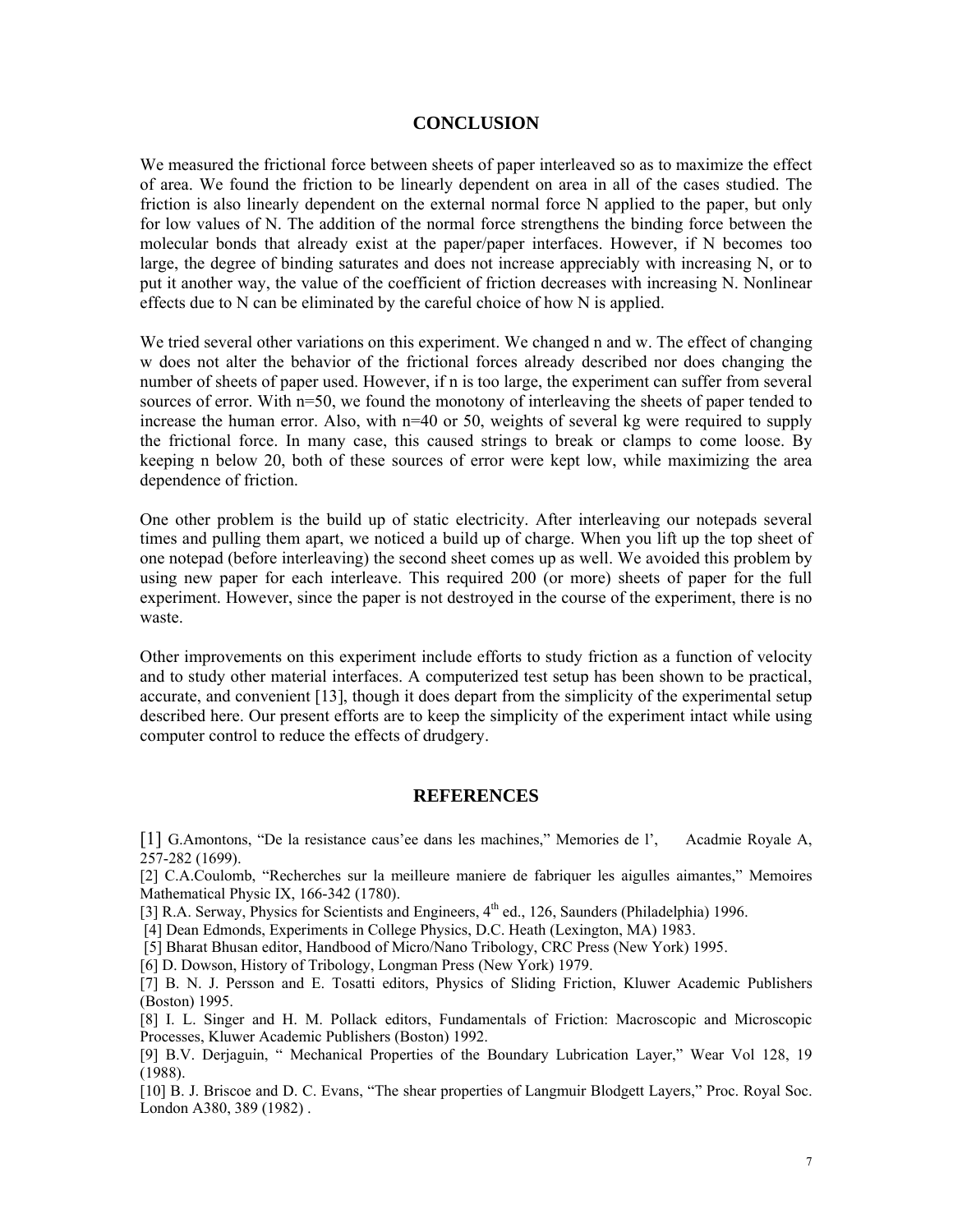#### **CONCLUSION**

We measured the frictional force between sheets of paper interleaved so as to maximize the effect of area. We found the friction to be linearly dependent on area in all of the cases studied. The friction is also linearly dependent on the external normal force N applied to the paper, but only for low values of N. The addition of the normal force strengthens the binding force between the molecular bonds that already exist at the paper/paper interfaces. However, if N becomes too large, the degree of binding saturates and does not increase appreciably with increasing N, or to put it another way, the value of the coefficient of friction decreases with increasing N. Nonlinear effects due to N can be eliminated by the careful choice of how N is applied.

We tried several other variations on this experiment. We changed n and w. The effect of changing w does not alter the behavior of the frictional forces already described nor does changing the number of sheets of paper used. However, if n is too large, the experiment can suffer from several sources of error. With n=50, we found the monotony of interleaving the sheets of paper tended to increase the human error. Also, with n=40 or 50, weights of several kg were required to supply the frictional force. In many case, this caused strings to break or clamps to come loose. By keeping n below 20, both of these sources of error were kept low, while maximizing the area dependence of friction.

One other problem is the build up of static electricity. After interleaving our notepads several times and pulling them apart, we noticed a build up of charge. When you lift up the top sheet of one notepad (before interleaving) the second sheet comes up as well. We avoided this problem by using new paper for each interleave. This required 200 (or more) sheets of paper for the full experiment. However, since the paper is not destroyed in the course of the experiment, there is no waste.

Other improvements on this experiment include efforts to study friction as a function of velocity and to study other material interfaces. A computerized test setup has been shown to be practical, accurate, and convenient [13], though it does depart from the simplicity of the experimental setup described here. Our present efforts are to keep the simplicity of the experiment intact while using computer control to reduce the effects of drudgery.

## **REFERENCES**

[1] G.Amontons, "De la resistance caus'ee dans les machines," Memories de l', Acadmie Royale A, 257-282 (1699).

[2] C.A.Coulomb, "Recherches sur la meilleure maniere de fabriquer les aigulles aimantes," Memoires Mathematical Physic IX, 166-342 (1780).

[3] R.A. Serway, Physics for Scientists and Engineers, 4<sup>th</sup> ed., 126, Saunders (Philadelphia) 1996.

[4] Dean Edmonds, Experiments in College Physics, D.C. Heath (Lexington, MA) 1983.

[5] Bharat Bhusan editor, Handbood of Micro/Nano Tribology, CRC Press (New York) 1995.

[6] D. Dowson, History of Tribology, Longman Press (New York) 1979.

[7] B. N. J. Persson and E. Tosatti editors, Physics of Sliding Friction, Kluwer Academic Publishers (Boston) 1995.

[8] I. L. Singer and H. M. Pollack editors, Fundamentals of Friction: Macroscopic and Microscopic Processes, Kluwer Academic Publishers (Boston) 1992.

[9] B.V. Derjaguin, " Mechanical Properties of the Boundary Lubrication Layer," Wear Vol 128, 19 (1988).

[10] B. J. Briscoe and D. C. Evans, "The shear properties of Langmuir Blodgett Layers," Proc. Royal Soc. London A380, 389 (1982) .